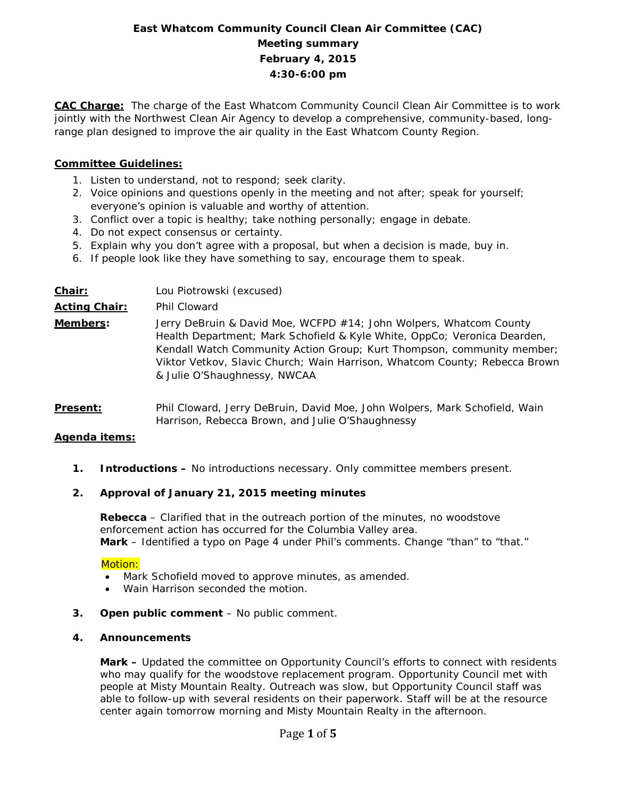# **East Whatcom Community Council Clean Air Committee (CAC) Meeting summary February 4, 2015 4:30-6:00 pm**

**CAC Charge:** The charge of the East Whatcom Community Council Clean Air Committee is to work jointly with the Northwest Clean Air Agency to develop a comprehensive, community-based, longrange plan designed to improve the air quality in the East Whatcom County Region.

## **Committee Guidelines:**

- 1. Listen to understand, not to respond; seek clarity.
- 2. Voice opinions and questions openly in the meeting and not after; speak for yourself; everyone's opinion is valuable and worthy of attention.
- 3. Conflict over a topic is healthy; take nothing personally; engage in debate.
- 4. Do not expect consensus or certainty.
- 5. Explain why you don't agree with a proposal, but when a decision is made, buy in.
- 6. If people look like they have something to say, encourage them to speak.

| Chair:               | Lou Piotrowski (excused)                                                                                                                                                                                                                                                                                                               |  |  |  |
|----------------------|----------------------------------------------------------------------------------------------------------------------------------------------------------------------------------------------------------------------------------------------------------------------------------------------------------------------------------------|--|--|--|
| <b>Acting Chair:</b> | Phil Cloward                                                                                                                                                                                                                                                                                                                           |  |  |  |
| Members:             | Jerry DeBruin & David Moe, WCFPD #14; John Wolpers, Whatcom County<br>Health Department; Mark Schofield & Kyle White, OppCo; Veronica Dearden,<br>Kendall Watch Community Action Group; Kurt Thompson, community member;<br>Viktor Vetkov, Slavic Church; Wain Harrison, Whatcom County; Rebecca Brown<br>& Julie O'Shaughnessy, NWCAA |  |  |  |
| <b>DALLARD</b>       | Dhii Olannaad Hamur Da Dunia - Danial Maa - Jahar Walusaya - Maale Calaafiatal - Waiw                                                                                                                                                                                                                                                  |  |  |  |

**Present:** Phil Cloward, Jerry DeBruin, David Moe, John Wolpers, Mark Schofield, Wain Harrison, Rebecca Brown, and Julie O'Shaughnessy

## **Agenda items:**

**1. Introductions –** No introductions necessary. Only committee members present.

## **2. Approval of January 21, 2015 meeting minutes**

**Rebecca** – Clarified that in the outreach portion of the minutes, no woodstove enforcement action has occurred for the Columbia Valley area. **Mark** – Identified a typo on Page 4 under Phil's comments. Change "than" to "that."

## Motion:

- Mark Schofield moved to approve minutes, as amended.
- Wain Harrison seconded the motion.
- **3. Open public comment**  No public comment.

#### **4. Announcements**

**Mark –** Updated the committee on Opportunity Council's efforts to connect with residents who may qualify for the woodstove replacement program. Opportunity Council met with people at Misty Mountain Realty. Outreach was slow, but Opportunity Council staff was able to follow-up with several residents on their paperwork. Staff will be at the resource center again tomorrow morning and Misty Mountain Realty in the afternoon.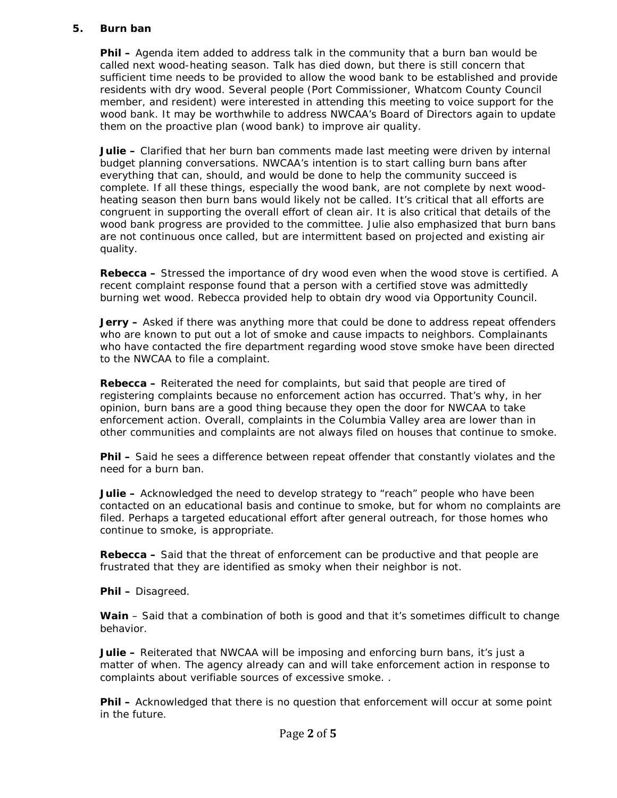### **5. Burn ban**

**Phil –** Agenda item added to address talk in the community that a burn ban would be called next wood-heating season. Talk has died down, but there is still concern that sufficient time needs to be provided to allow the wood bank to be established and provide residents with dry wood. Several people (Port Commissioner, Whatcom County Council member, and resident) were interested in attending this meeting to voice support for the wood bank. It may be worthwhile to address NWCAA's Board of Directors again to update them on the proactive plan (wood bank) to improve air quality.

**Julie –** Clarified that her burn ban comments made last meeting were driven by internal budget planning conversations. NWCAA's intention is to start calling burn bans after everything that can, should, and would be done to help the community succeed is complete. If all these things, especially the wood bank, are not complete by next woodheating season then burn bans would likely not be called. It's critical that all efforts are congruent in supporting the overall effort of clean air. It is also critical that details of the wood bank progress are provided to the committee. Julie also emphasized that burn bans are not continuous once called, but are intermittent based on projected and existing air quality.

**Rebecca –** Stressed the importance of dry wood even when the wood stove is certified. A recent complaint response found that a person with a certified stove was admittedly burning wet wood. Rebecca provided help to obtain dry wood via Opportunity Council.

**Jerry –** Asked if there was anything more that could be done to address repeat offenders who are known to put out a lot of smoke and cause impacts to neighbors. Complainants who have contacted the fire department regarding wood stove smoke have been directed to the NWCAA to file a complaint.

**Rebecca –** Reiterated the need for complaints, but said that people are tired of registering complaints because no enforcement action has occurred. That's why, in her opinion, burn bans are a good thing because they open the door for NWCAA to take enforcement action. Overall, complaints in the Columbia Valley area are lower than in other communities and complaints are not always filed on houses that continue to smoke.

**Phil –** Said he sees a difference between repeat offender that constantly violates and the need for a burn ban.

**Julie –** Acknowledged the need to develop strategy to "reach" people who have been contacted on an educational basis and continue to smoke, but for whom no complaints are filed. Perhaps a targeted educational effort after general outreach, for those homes who continue to smoke, is appropriate.

**Rebecca –** Said that the threat of enforcement can be productive and that people are frustrated that they are identified as smoky when their neighbor is not.

**Phil –** Disagreed.

Wain – Said that a combination of both is good and that it's sometimes difficult to change behavior.

**Julie –** Reiterated that NWCAA will be imposing and enforcing burn bans, it's just a matter of when. The agency already can and will take enforcement action in response to complaints about verifiable sources of excessive smoke. .

**Phil –** Acknowledged that there is no question that enforcement will occur at some point in the future.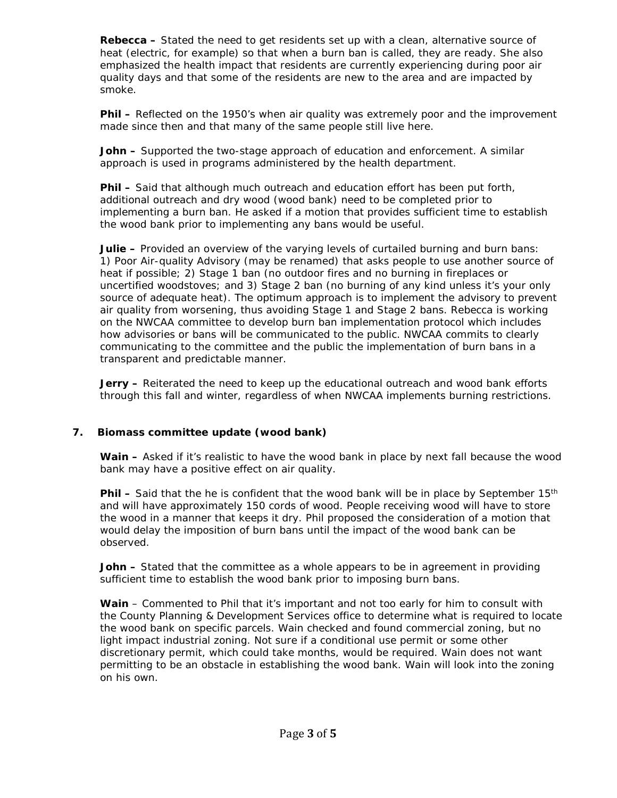**Rebecca –** Stated the need to get residents set up with a clean, alternative source of heat (electric, for example) so that when a burn ban is called, they are ready. She also emphasized the health impact that residents are currently experiencing during poor air quality days and that some of the residents are new to the area and are impacted by smoke.

**Phil –** Reflected on the 1950's when air quality was extremely poor and the improvement made since then and that many of the same people still live here.

**John –** Supported the two-stage approach of education and enforcement. A similar approach is used in programs administered by the health department.

**Phil –** Said that although much outreach and education effort has been put forth, additional outreach and dry wood (wood bank) need to be completed prior to implementing a burn ban. He asked if a motion that provides sufficient time to establish the wood bank prior to implementing any bans would be useful.

**Julie –** Provided an overview of the varying levels of curtailed burning and burn bans: 1) Poor Air-quality Advisory (may be renamed) that asks people to use another source of heat if possible; 2) Stage 1 ban (no outdoor fires and no burning in fireplaces or uncertified woodstoves; and 3) Stage 2 ban (no burning of any kind unless it's your only source of adequate heat). The optimum approach is to implement the advisory to prevent air quality from worsening, thus avoiding Stage 1 and Stage 2 bans. Rebecca is working on the NWCAA committee to develop burn ban implementation protocol which includes how advisories or bans will be communicated to the public. NWCAA commits to clearly communicating to the committee and the public the implementation of burn bans in a transparent and predictable manner.

**Jerry –** Reiterated the need to keep up the educational outreach and wood bank efforts through this fall and winter, regardless of when NWCAA implements burning restrictions.

## **7. Biomass committee update (wood bank)**

**Wain –** Asked if it's realistic to have the wood bank in place by next fall because the wood bank may have a positive effect on air quality.

**Phil –** Said that the he is confident that the wood bank will be in place by September 15<sup>th</sup> and will have approximately 150 cords of wood. People receiving wood will have to store the wood in a manner that keeps it dry. Phil proposed the consideration of a motion that would delay the imposition of burn bans until the impact of the wood bank can be observed.

**John –** Stated that the committee as a whole appears to be in agreement in providing sufficient time to establish the wood bank prior to imposing burn bans.

**Wain** – Commented to Phil that it's important and not too early for him to consult with the County Planning & Development Services office to determine what is required to locate the wood bank on specific parcels. Wain checked and found commercial zoning, but no light impact industrial zoning. Not sure if a conditional use permit or some other discretionary permit, which could take months, would be required. Wain does not want permitting to be an obstacle in establishing the wood bank. Wain will look into the zoning on his own.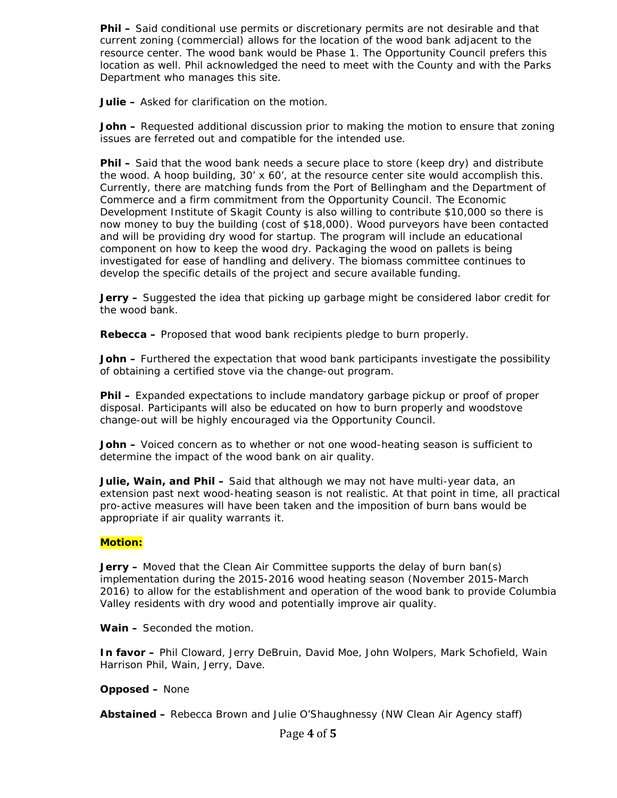**Phil –** Said conditional use permits or discretionary permits are not desirable and that current zoning (commercial) allows for the location of the wood bank adjacent to the resource center. The wood bank would be Phase 1. The Opportunity Council prefers this location as well. Phil acknowledged the need to meet with the County and with the Parks Department who manages this site.

**Julie –** Asked for clarification on the motion.

**John –** Requested additional discussion prior to making the motion to ensure that zoning issues are ferreted out and compatible for the intended use.

**Phil –** Said that the wood bank needs a secure place to store (keep dry) and distribute the wood. A hoop building, 30' x 60', at the resource center site would accomplish this. Currently, there are matching funds from the Port of Bellingham and the Department of Commerce and a firm commitment from the Opportunity Council. The Economic Development Institute of Skagit County is also willing to contribute \$10,000 so there is now money to buy the building (cost of \$18,000). Wood purveyors have been contacted and will be providing dry wood for startup. The program will include an educational component on how to keep the wood dry. Packaging the wood on pallets is being investigated for ease of handling and delivery. The biomass committee continues to develop the specific details of the project and secure available funding.

**Jerry –** Suggested the idea that picking up garbage might be considered labor credit for the wood bank.

**Rebecca –** Proposed that wood bank recipients pledge to burn properly.

**John –** Furthered the expectation that wood bank participants investigate the possibility of obtaining a certified stove via the change-out program.

**Phil –** Expanded expectations to include mandatory garbage pickup or proof of proper disposal. Participants will also be educated on how to burn properly and woodstove change-out will be highly encouraged via the Opportunity Council.

**John –** Voiced concern as to whether or not one wood-heating season is sufficient to determine the impact of the wood bank on air quality.

**Julie, Wain, and Phil –** Said that although we may not have multi-year data, an extension past next wood-heating season is not realistic. At that point in time, all practical pro-active measures will have been taken and the imposition of burn bans would be appropriate if air quality warrants it.

## **Motion:**

**Jerry –** Moved that the Clean Air Committee supports the delay of burn ban(s) implementation during the 2015-2016 wood heating season (November 2015-March 2016) to allow for the establishment and operation of the wood bank to provide Columbia Valley residents with dry wood and potentially improve air quality.

**Wain –** Seconded the motion.

**In favor –** Phil Cloward, Jerry DeBruin, David Moe, John Wolpers, Mark Schofield, Wain Harrison Phil, Wain, Jerry, Dave.

## **Opposed –** None

**Abstained –** Rebecca Brown and Julie O'Shaughnessy (NW Clean Air Agency staff)